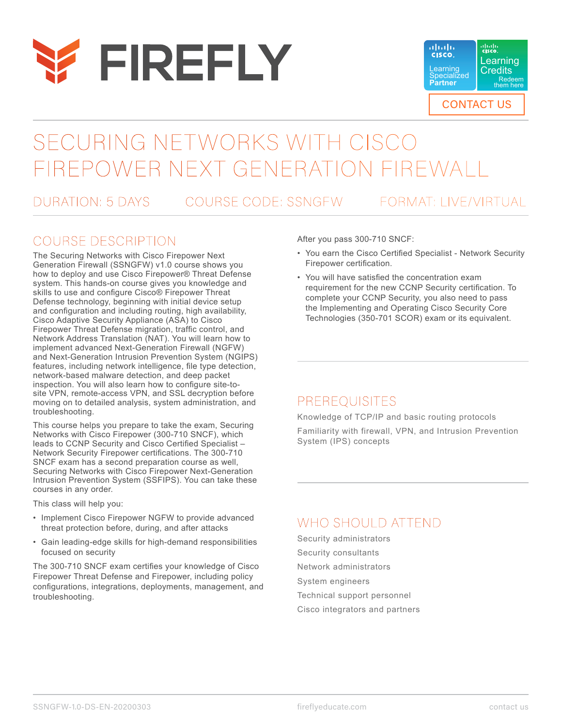



# SECURING NETWORKS WITH CISCO FIREPOWER NEXT GENERATION FIR

DURATION: 5 DAYS COURSE CODE: SSNGFW FORMAT: LIVE/VIRTUAL

### COURSE DESCRIPTION

The Securing Networks with Cisco Firepower Next Generation Firewall (SSNGFW) v1.0 course shows you how to deploy and use Cisco Firepower® Threat Defense system. This hands-on course gives you knowledge and skills to use and configure Cisco® Firepower Threat Defense technology, beginning with initial device setup and configuration and including routing, high availability, Cisco Adaptive Security Appliance (ASA) to Cisco Firepower Threat Defense migration, traffic control, and Network Address Translation (NAT). You will learn how to implement advanced Next-Generation Firewall (NGFW) and Next-Generation Intrusion Prevention System (NGIPS) features, including network intelligence, file type detection, network-based malware detection, and deep packet inspection. You will also learn how to configure site-tosite VPN, remote-access VPN, and SSL decryption before moving on to detailed analysis, system administration, and troubleshooting.

This course helps you prepare to take the exam, Securing Networks with Cisco Firepower (300-710 SNCF), which leads to CCNP Security and Cisco Certified Specialist – Network Security Firepower certifications. The 300-710 SNCF exam has a second preparation course as well, Securing Networks with Cisco Firepower Next-Generation Intrusion Prevention System (SSFIPS). You can take these courses in any order.

This class will help you:

- Implement Cisco Firepower NGFW to provide advanced threat protection before, during, and after attacks
- Gain leading-edge skills for high-demand responsibilities focused on security

The 300-710 SNCF exam certifies your knowledge of Cisco Firepower Threat Defense and Firepower, including policy configurations, integrations, deployments, management, and troubleshooting.

After you pass 300-710 SNCF:

- You earn the Cisco Certified Specialist Network Security Firepower certification.
- You will have satisfied the concentration exam requirement for the new CCNP Security certification. To complete your CCNP Security, you also need to pass the Implementing and Operating Cisco Security Core Technologies (350-701 SCOR) exam or its equivalent.

### PREREQUISITES

Knowledge of TCP/IP and basic routing protocols Familiarity with firewall, VPN, and Intrusion Prevention System (IPS) concepts

## WHO SHOULD ATTEND

Security administrators Security consultants Network administrators System engineers Technical support personnel Cisco integrators and partners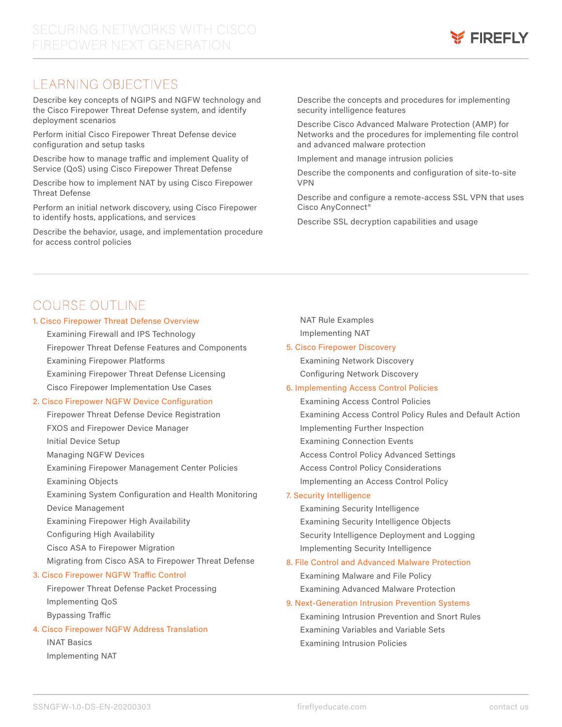

### LEARNING OBJECTIVES

Describe key concepts of NGIPS and NGFW technology and the Cisco Firepower Threat Defense system, and identify deployment scenarios

Perform initial Cisco Firepower Threat Defense device configuration and setup tasks

Describe how to manage traffic and implement Quality of Service (QoS) using Cisco Firepower Threat Defense

Describe how to implement NAT by using Cisco Firepower Threat Defense

Perform an initial network discovery, using Cisco Firepower to identify hosts, applications, and services

Describe the behavior, usage, and implementation procedure for access control policies

Describe the concepts and procedures for implementing security intelligence features

Describe Cisco Advanced Malware Protection (AMP) for Networks and the procedures for implementing file control and advanced malware protection

Implement and manage intrusion policies

Describe the components and configuration of site-to-site VPN

Describe and configure a remote-access SSL VPN that uses Cisco AnyConnect®

Describe SSL decryption capabilities and usage

### COURSE OUTLINE

#### 1. Cisco Firepower Threat Defense Overview

Examining Firewall and IPS Technology

Firepower Threat Defense Features and Components Examining Firepower Platforms

Examining Firepower Threat Defense Licensing

Cisco Firepower Implementation Use Cases

#### 2. Cisco Firepower NGFW Device Configuration

Firepower Threat Defense Device Registration FXOS and Firepower Device Manager Initial Device Setup Managing NGFW Devices Examining Firepower Management Center Policies Examining Objects Examining System Configuration and Health Monitoring Device Management Examining Firepower High Availability Configuring High Availability Cisco ASA to Firepower Migration Migrating from Cisco ASA to Firepower Threat Defense 3. Cisco Firepower NGFW Traffic Control

Firepower Threat Defense Packet Processing Implementing QoS Bypassing Traffic

#### 4. Cisco Firepower NGFW Address Translation

INAT Basics Implementing NAT NAT Rule Examples Implementing NAT

#### 5. Cisco Firepower Discovery

Examining Network Discovery Configuring Network Discovery

#### 6. Implementing Access Control Policies

Examining Access Control Policies Examining Access Control Policy Rules and Default Action Implementing Further Inspection Examining Connection Events Access Control Policy Advanced Settings Access Control Policy Considerations Implementing an Access Control Policy

#### 7. Security Intelligence

Examining Security Intelligence Examining Security Intelligence Objects Security Intelligence Deployment and Logging Implementing Security Intelligence

#### 8. File Control and Advanced Malware Protection

Examining Malware and File Policy Examining Advanced Malware Protection

### 9. Next-Generation Intrusion Prevention Systems

Examining Intrusion Prevention and Snort Rules Examining Variables and Variable Sets Examining Intrusion Policies